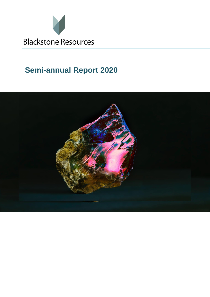

# **Semi-annual Report 2020**

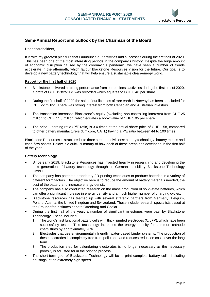

#### **Semi-Annual Report and outlook by the Chairman of the Board**

Dear shareholders,

It is with my greatest pleasure that I announce our activities and successes during the first half of 2020. This has been one of the most interesting periods in the company's history. Despite the huge amount of economic disruption caused by the coronavirus pandemic, we have seen a number of trends accelerate in the aftermath, which favour Blackstone Resources vision for the future. Our goal is to develop a new battery technology that will help ensure a sustainable clean-energy world.

#### **Report for the first half of 2020**

- Blackstone delivered a strong performance from our business activities during the first half of 2020, a profit of CHF 19'825'061 was recorded which equates to CHF 0.46 per share.
- During the first half of 2020 the sale of our licenses of rare earth in Norway has been concluded for CHF 22 million. There was strong interest from both Canadian and Australian investors.
- The transaction increased Blackstone's equity (excluding non-controlling interests) from CHF 25 million to CHF 44.8 million, which equates a book value of CHF 1.05 per share.
- The price earning ratio (P/E ratio) is 3.4 times at the actual share price of CHF 1.58, compared to other battery manufacturers (Umicore, CATL) having a P/E ratio between 44 to 100 times.

Blackstone Resources is structured into three separate divisions: battery technology, battery metals and cash-flow assets. Below is a quick summary of how each of these areas has developed in the first half of the year.

#### **Battery technology**

- Since early 2019, Blackstone Resources has invested heavily in researching and developing the next generation of battery technology through its German subsidiary Blackstone Technology GmbH.
- The company has patented proprietary 3D-printing techniques to produce batteries in a variety of different form factors. The objective here is to reduce the amount of battery materials needed, the cost of the battery and increase energy density.
- The company has also conducted research on the mass production of solid-state batteries, which can offer a significant increase in energy density and a much higher number of charging cycles.
- Blackstone resources has teamed up with several strategic partners from Germany, Belgium, Poland, Austria, the United Kingdom and Switzerland. These include research specialists based at the Fraunhofer Institutes at both Offenburg and Goslar.
- During the first half of the year, a number of significant milestones were past by Blackstone Technology. These included:
	- 1. The world's first functional battery cells with thick, printed electrodes (C/LFP), which have been successfully tested. This technology increases the energy density for common cathode chemistries by approximately 20%.
	- 2. Electrodes that use environmentally friendly, water-based binder systems. The production of these electrodes is completely free from pollutants and reduces reduction costs over the long term.
	- 3. The production step for calendaring electorates is no longer necessary as the necessary porosity is adjusted for in the printing process.
- The short-term goal of Blackstone Technology will be to print complete battery cells, including housings, at an extremely high speed.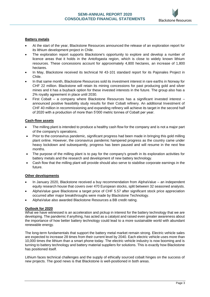

#### **Battery metals**

- At the start of the year, Blackstone Resources announced the release of an exploration report for its lithium development project in Chile.
- The exploration report supports Blackstone's opportunity to explore and develop a number of licence areas that it holds in the Antofogasta region, which is close to widely known lithium resources. These concessions account for approximately 4,800 hectares, an increase of 1,800 hectares.
- In May, Blackstone received its technical NI 43-101 standard report for its Pajonales Project in Chile.
- In that same month, Blackstone Resources sold its investment interest in rare earths in Norway for CHF 22 million. Blackstone will retain its mining concessions for past producing gold and silver mines and it has a buyback option for these invested interests in the future. The group also has a 2% royalty agreement in place until 2030.
- First Cobalt a company where Blackstone Resources has a significant invested interest announced positive feasibility study results for their Cobalt refinery. An additional Investment of CHF 40 million in recommissioning and expanding refinery will achieve its target in the second half of 2020 with a production of more than 5'000 metric tonnes of Cobalt per year.

#### **Cash-flow assets**

- The milling plant is intended to produce a healthy cash flow for the company and is not a major part of the company's operations.
- Prior to the coronavirus pandemic, significant progress had been made in bringing this gold milling plant online. However, the coronavirus pandemic hampered progress as the country came under heavy lockdown and subsequently, progress has been paused and will resume in the next few months.
- The purpose of the milling plant is to pay for the company's growth in its exploration activities for battery metals and the research and development of new battery technology.
- Cash flow that the milling plant will provide should also serve to stabilise corporate earnings in the future.

#### **Other developments**

- In January 2020, Blackstone received a buy recommendation from AlphaValue an independent equity research house that covers over 470 European stocks, split between 32 seasoned analysts.
- AlphaValue gave Blackstone a target price of CHF 5.57 after significant stock price appreciation occurred after major breakthroughs were made by Blackstone Technology.
- AlphaValue also awarded Blackstone Resources a BB credit rating.

#### **Outlook for 2020**

What we have witnessed is an acceleration and pickup in interest for the battery technology that we are developing. The pandemic if anything, has acted as a catalyst and raised even greater awareness about the importance of how better battery technology could lead to a more sustainable world with abundant renewable energy.

The long-term fundamentals that support the battery metal market remain strong. Electric vehicle sales are expected to increase 28 times from their current level by 2040. Each electric vehicle uses more than 10,000 times the lithium than a smart phone today. The electric vehicle industry is now booming and is turning to battery technology and battery material suppliers for solutions. This is exactly how Blackstone has positioned itself.

Lithium faces technical challenges and the supply of ethically sourced cobalt hinges on the success of new projects. The good news is that Blackstone is well-positioned in both areas.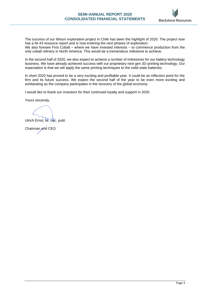

The success of our lithium exploration project in Chile has been the highlight of 2020. The project now has a NI-43 resource report and is now entering the next phases of exploration.

We also foresee First Cobalt – where we have invested interests – to commence production from the only cobalt refinery in North America. This would be a tremendous milestone to achieve.

In the second half of 2020, we also expect to achieve a number of milestones for our battery technology business. We have already achieved success with our proprietary next gen 3D-printing technology. Our expectation is that we will apply the same printing techniques to the solid-state batteries.

In short 2020 has proved to be a very exciting and profitable year. It could be an inflection point for the firm and its future success. We expect the second half of the year to be even more exciting and exhilarating as the company participates in the recovery of the global economy.

I would like to thank our investors for their continued loyalty and support in 2020.

Yours sincerely,

Ulrich Ernst, lic. oec. publ.

Chairman and CEO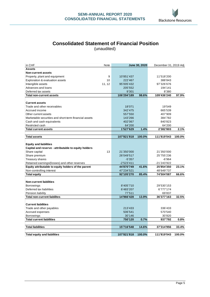

## **Consolidated Statement of Financial Position**

(unaudited)

| in CHF<br>Note                                        | June 30, 2020 |        | December 31, 2019 Adj |        |
|-------------------------------------------------------|---------------|--------|-----------------------|--------|
| <b>Assets</b>                                         |               |        |                       |        |
| <b>Non-current assets</b>                             |               |        |                       |        |
| 9<br>Property, plant and equipment                    | 10'851'437    |        | 11'518'200            |        |
| 10<br>Exploration & evaluation assets                 | 222'467       |        | 388'843               |        |
| 11, 12<br>Intangible assets                           | 95'005'432    |        | 97'326'676            |        |
| Advances and loans                                    | 205'552       |        | 194'141               |        |
| Deferred tax assets                                   | 9'301         |        | 8'380                 |        |
| <b>Total non-current assets</b>                       | 106'294'189   | 98.6%  | 109'436'240           | 97.9%  |
|                                                       |               |        |                       |        |
| <b>Current assets</b>                                 |               |        |                       |        |
| Trade and other receivables                           | 18'071        |        | 19'549                |        |
| Accrued income                                        | 342'475       |        | 665'539               |        |
| Other current assets                                  | 557'550       |        | 407'909               |        |
| Marketable securities and short-term financial assets | 143'266       |        | 384'782               |        |
| Cash and cash equivalents                             | 402'067       |        | 840'823               |        |
| Restricted cash                                       | 64'200        |        | 64'200                |        |
| <b>Total current assets</b>                           | 1'527'629     | 1.4%   | 2'382'803             | 2.1%   |
|                                                       |               |        |                       |        |
| <b>Total assets</b>                                   | 107'821'818   | 100.0% | 111'819'043           | 100.0% |
|                                                       |               |        |                       |        |
| <b>Equity and liabilities</b>                         |               |        |                       |        |
| Capital and reserve - attributable to equity holders  |               |        |                       |        |
| 13<br>Share capital                                   | 21'350'000    |        | 21'350'000            |        |
| Share premium                                         | 26'049'517    |        | 25'755'236            |        |
| Treasury shares                                       | $-5'357$      |        | $-6'964$              |        |
| Retained earnings/(losses) and other reserves         | $-2'523'411$  |        | -21'243'922           |        |
| Equity attributable to equity holders of the parent   | 44'870'749    | 41.6%  | 25'854'350            | 23.1%  |
| Non-controlling interest                              | 47'234'521    |        | 48'649'737            |        |
| <b>Total equity</b>                                   | 92'105'270    | 85.4%  | 74'504'087            | 66.6%  |
|                                                       |               |        |                       |        |
| <b>Non-current liabilities</b>                        |               |        |                       |        |
| <b>Borrowings</b>                                     | 8'405'710     |        | 29'530'153            |        |
| Deferred tax liabilities                              | 6'483'207     |        | 6'777'174             |        |
| Pension liability                                     | 77'511        |        | 69'837                |        |
| <b>Total non-current liabilites</b>                   | 14'966'428    | 13.9%  | 36'377'163            | 32.5%  |
| <b>Current liabilities</b>                            |               |        |                       |        |
| Trade and other payables                              | 213'433       |        | 336'433               |        |
| Accrued expenses                                      | 506'541       |        | 570'540               |        |
| <b>Borrowings</b>                                     | 30'146        |        | 30'820                |        |
| <b>Total current liabilities</b>                      | 750'120       | 0.7%   | 937'792               | 0.8%   |
|                                                       |               |        |                       |        |
| <b>Total liabilities</b>                              | 15'716'548    | 14.6%  | 37'314'956            | 33.4%  |
|                                                       |               |        |                       |        |
| <b>Total equity and liabilities</b>                   | 107'821'818   | 100.0% | 111'819'043           | 100.0% |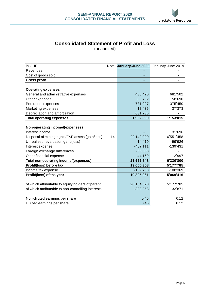

## **Consolidated Statement of Profit and Loss**

(unaudited)

| in CHF                                             | Note | January-June 2020 | January-June 2019 |
|----------------------------------------------------|------|-------------------|-------------------|
| Revenues                                           |      |                   |                   |
| Cost of goods sold                                 |      |                   |                   |
| <b>Gross profit</b>                                |      |                   |                   |
|                                                    |      |                   |                   |
| <b>Operating expenses</b>                          |      |                   |                   |
| General and administrative expenses                |      | 436'420           | 681'502           |
| Other expenses                                     |      | 85'702            | 58'690            |
| Personnel expenses                                 |      | 731'097           | 375'450           |
| Marketing expenses                                 |      | 17'435            | 37'373            |
| Depreciation and amortization                      |      | 631'736           |                   |
| <b>Total operating expenses</b>                    |      | 1'902'390         | 1'153'015         |
|                                                    |      |                   |                   |
| Non-operating income/(expenses)                    |      |                   |                   |
| Interest income                                    |      |                   | 31'696            |
| Disposal of mining rights/E&E assets (gain/loss)   | 14   | 22'140'000        | 6'551'458         |
| Unrealized revaluation gain/(loss)                 |      | 14'410            | -99'926           |
| Interest expense                                   |      | $-487'111$        | -139'431          |
| Foreign exchange differences                       |      | $-65'383$         |                   |
| Other financial expense                            |      | $-44'169$         | $-12'997$         |
| Total non-operating income/(expenses)              |      | 21'557'748        | 6'330'800         |
| Profit/(loss) before tax                           |      | 19'655'358        | 5'177'785         |
| Income tax expense                                 |      | $-169'703$        | -108'369          |
| Profit/(loss) of the year                          |      | 19'825'061        | 5'069'416         |
|                                                    |      |                   |                   |
| of which attributable to equity holders of parent  |      | 20'134'320        | 5'177'785         |
| of which attributable to non-controlling interests |      | $-309'258$        | -133'871          |
|                                                    |      |                   |                   |
| Non-diluted earnings per share                     |      | 0.46              | 0.12              |
| Diluted earnings per share                         |      | 0.46              | 0.12              |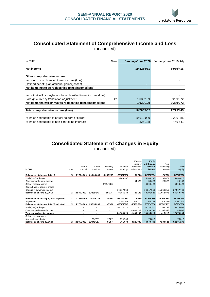

### **Consolidated Statement of Comprehensive Income and Loss** (unaudited)

| in CHF                                                             | Note | January-June 2020 | January-June 2019 Adj. |
|--------------------------------------------------------------------|------|-------------------|------------------------|
| Net income                                                         |      | 19'825'061        | 5'069'416              |
| Other comprehensive income:                                        |      |                   |                        |
| Items not be reclassified to net income/(loss):                    |      |                   |                        |
| Defined benefit plan actuarial gains/(losses)                      |      |                   |                        |
| Net items not to be reclassified to net income/(loss)              |      |                   |                        |
|                                                                    |      |                   |                        |
| Items that will or maybe not be reclassified to net income/(loss): |      |                   |                        |
| Foreign currency translation adjustment                            | 12   | $-1'039'109$      | -3'289'972             |
| Net items that will or maybe reclassified to net income/(loss)     |      | -1'039'109        | -3'289'972             |
|                                                                    |      |                   |                        |
| Total comprehensive income/(loss)                                  |      | 18'785'952        | 1'779'445              |
|                                                                    |      |                   |                        |
| of which attributable to equity holders of parent                  |      | 19'612'090        | 2'226'085              |
| of which attributable to non-controlling interests                 |      | $-826'138$        | $-446'641$             |

## **Consolidated Statement of Changes in Equity** (unaudited)

|                                         |      |            |                |                          |             | Foreign      | <b>Equity</b> |              |              |
|-----------------------------------------|------|------------|----------------|--------------------------|-------------|--------------|---------------|--------------|--------------|
|                                         |      |            |                |                          |             | currency     | attributable  | Non-         |              |
|                                         |      | Issued     | Share          | Treasury                 | Retained    | translation  | to share-     | controlling  | Total        |
| in CHF                                  | Note | capital    | premium        | shares                   | earnings    | adjustment   | holders       | interest     | equity       |
|                                         |      |            |                |                          |             |              |               |              |              |
| Balance as at January 1, 2019           | 13   | 21'350'000 | 30'338'643     | -6'980'203               | -29'907'080 | 29'523       | 14'830'884    | -86'992      | 14'743'892   |
| Profit/(loss) of the year               |      |            |                |                          | 5'203'287   |              | 5'203'287     | $-133'871$   | 5'069'416    |
| Other comprehensive income              |      |            |                |                          |             | $-54'626$    | $-54'626$     | 29'523       | $-25'103$    |
| Sale of treasury shares                 |      |            | $\sim$         | 6'894'428                |             |              | 6'894'428     |              | 6'894'428    |
| Repurchase of treasury shares           |      |            |                |                          |             |              |               |              | -            |
| Change in ownership interest            |      |            |                |                          | 16'317'553  |              | 16'317'553    | 11'250'215   | 27'567'768   |
| Balance as at June 30, 2019             | 13   | 21'350'000 | 30'338'643     | $-85'775$                | -8'386'240  | $-25'103$    | 43'191'526    | 11'058'875   | 54'250'401   |
|                                         |      |            |                |                          |             |              |               |              |              |
| Balance as at January 1, 2020, reported | 13   | 21'350'000 | 25'755'236     | -6'964                   | -22'141'283 | 9'296        | 24'966'286    | 48'120'368   | 73'086'654   |
| Adjustment                              | 12   |            |                |                          | 3'083'336   | $-2'195'272$ | 888'065       | 529'369      | 1'417'434    |
| Balance as at January 1, 2020, adjusted | 13   | 21'350'000 | 25'755'236     | -6'964                   | -19'057'947 | $-2'185'976$ | 25'854'350    | 48'649'737   | 74'504'088   |
| Profit/(loss) of the year               |      |            | ٠              | $\overline{\phantom{a}}$ | 20'134'320  |              | 20'134'320    | -309'258     | 19'825'061   |
| Other comprehensive income              |      |            | $\overline{a}$ | $\overline{\phantom{a}}$ |             | $-1'039'109$ | $-1'039'109$  | $-1'105'958$ | $-2'145'067$ |
| Total comprehensive income              |      | ٠          | $\blacksquare$ | $\blacksquare$           | 20'134'320  | -1'039'109   | 19'095'210    | -1'415'216   | 17'679'994   |
| Sale of treasury shares                 |      |            |                |                          |             |              |               |              |              |
| Non-cash contribution                   |      |            | 294'281        | 1'607                    | $-374'700$  |              | $-78'812$     |              | $-78'812$    |
| Balance as at June 30, 2020             | 13   | 21'350'000 | 26'049'517     | $-5'357$                 | 701'673     | -3'225'085   | 44'870'748    | 47'234'521   | 92'105'270   |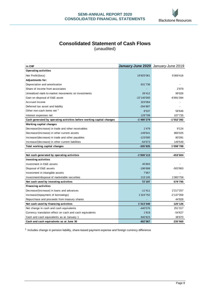

## **Consolidated Statement of Cash Flows**

(unaudited)

| in CHF                                                                | January-June 2020 January-June 2019 |              |
|-----------------------------------------------------------------------|-------------------------------------|--------------|
| <b>Operating activities</b>                                           |                                     |              |
| Net Profit/(loss)                                                     | 19'825'061                          | 5'069'416    |
| <b>Adjustments for:</b>                                               |                                     |              |
| Depreciation and amortisation                                         | 631'736                             |              |
| Share of income from associates                                       |                                     | 2'979        |
| Unrealised mark-to-market movements on investments                    | 26'412                              | 99'926       |
| Gain on disposal of E&E asset                                         | $-22'140'000$                       | -6'891'094   |
| Accrued income                                                        | 323'064                             |              |
| Deferred tax asset and liability                                      | $-294'887$                          |              |
| Other non-cash items net 1                                            | 8'537                               | 58'646       |
| Interest expenses net                                                 | 129'799                             | 107'735      |
| Cash generated by operating activities before working capital changes | $-1'490'279$                        | $-1'552'392$ |
| Working capital changes                                               |                                     |              |
| Decrease/(increase) in trade and other receivables                    | 1'479                               | 9'124        |
| Decrease/(increase) in other current assets                           | $-149'641$                          | 860'025      |
| Increase/(decrease) in trade and other payables                       | $-123'000$                          | 80'091       |
| Increase/(decrease) in other current liabilities                      | $-64'673$                           | 149'548      |
| Total working capital changes                                         | $-335'835$                          | 1'098'788    |
|                                                                       |                                     |              |
| Net cash generated by operating activities                            | $-1'826'113$                        | -453'604     |
| <b>Investing activities</b>                                           |                                     |              |
| Investment in E&E assets                                              | 45'803                              |              |
| Disposal of E&E assets                                                | $-196'668$                          | -503'963     |
| Investment in intangible assets                                       | 7'957                               |              |
| Investment/disposal of marketable securities                          | 215'105                             | 1'083'758    |
| Net cash used by investing activities                                 | 72'197                              | 579'795      |
| <b>Financing activities</b>                                           |                                     |              |
| Decrease/(increase) in loans and advances                             | $-11'411$                           | 2'217'257    |
| Increase/(repayment of borrowings)                                    | 1'324'752                           | -2'137'059   |
| Repurchase and proceeds from treasury shares                          |                                     | 44'928       |
| Net cash used by financing activities                                 | 1'313'340                           | 125'126      |
| Net change in cash and cash equivalents                               | $-440'576$                          | 251'317      |
| Currency translation effect on cash and cash equivalents              | 1'819                               | $-54'627$    |
| Cash and cash equivalents as at January 1                             | 840'823                             | 38'870       |
| Cash and cash equivalents as at June 30                               | 402'067                             | 235'560      |

<sup>1</sup> Includes change in pension liability, share-based payment expense and foreign currency difference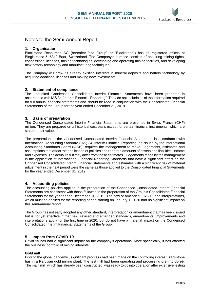

### Notes to the Semi-Annual Report

#### **1. Organisation**

Blackstone Resources AG (hereafter "the Group" or "Blackstone") has its registered offices at Blegistrasse 5, 6340 Baar, Switzerland. The Company's purpose consists of acquiring mining rights, concessions, licenses, mining technologies, developing and operating mining facilities, and developing new battery technology and manufacturing techniques.

The Company will grow its already existing interests in mineral deposits and battery technology by acquiring additional licenses and making new investments.

#### **2. Statement of compliance**

The unaudited Condensed Consolidated Interim Financial Statements have been prepared in accordance with IAS 34 "Interim Financial Reporting". They do not include all of the information required for full annual financial statements and should be read in conjunction with the Consolidated Financial Statements of the Group for the year ended December 31, 2019.

#### **3. Basis of preparation**

The Condensed Consolidated Interim Financial Statements are presented in Swiss Francs (CHF) million. They are prepared on a historical cost basis except for certain financial instruments, which are stated at fair value.

The preparation of the Condensed Consolidated Interim Financial Statements in accordance with International Accounting Standard (IAS) 34, Interim Financial Reporting, as issued by the International Accounting Standards Board (IASB), requires the management to make judgements, estimates and assumptions that affect the application of policies and reported amounts of assets and liabilities, income and expenses. The actual result may differ from these estimates. Judgements made by the management in the application of International Financial Reporting Standards that have a significant effect on the Condensed Consolidated Interim Financial Statements and estimates with a significant risk of material adjustment in the next period were the same as those applied to the Consolidated Financial Statements for the year ended December 31, 2019.

#### **4. Accounting policies**

The accounting policies applied in the preparation of the Condensed Consolidated Interim Financial Statements are consistent with those followed in the preparation of the Group's Consolidated Financial Statements for the year ended December 31, 2019. The new or amended IFRS 16 and interpretations, which must be applied for the reporting period starting on January 1, 2020 had no significant impact on this semi-annual report.

The Group has not early adopted any other standard, interpretation or amendment that has been issued but is not yet effective. Other new, revised and amended standards, amendments, improvements and interpretations apply for the first time in 2020, but do not have a material impact on the Condensed Consolidated Interim Financial Statements of the Group.

#### **5. Impact from COVID-19**

Covid-19 has had a significant impact on the company's operations. More specifically, it has affected the business' portfolio of mining interests.

#### **Gold mill**

Prior to the global pandemic, significant progress had been made on the controlling interest Blackstone has in a Peruvian gold milling plant. The test mill had been operating and processing ore into doreé. The main mill, which has already been constructed, was ready to go into operation after extensive testing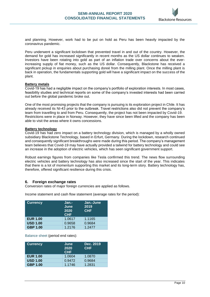

and planning. However, work had to be put on hold as Peru has been heavily impacted by the coronavirus pandemic.

Peru underwent a significant lockdown that prevented travel in and out of the country. However, the demand for gold has increased significantly in recent months as the US dollar continues to weaken. Investors have been rotating into gold as part of an inflation trade over concerns about the everincreasing supply of fiat money, such as the US dollar. Consequently, Blackstone has received a significant pickup in enquiries about purchasing doreé from the milling plant. Once the milling plant is back in operation, the fundamentals supporting gold will have a significant impact on the success of the plant.

#### **Battery metals**

Covid-19 has had a negligible impact on the company's portfolio of exploration interests. In most cases, feasibility studies and technical reports on some of the company's invested interests had been carried out before the global pandemic broke out.

One of the most promising projects that the company is pursuing is its exploration project in Chile. It has already received its NI-43 prior to the outbreak. Travel restrictions also did not prevent the company's team from travelling to and from Peru. Consequently, the project has not been impacted by Covid-19. Restrictions were in place in Norway. However, they have since been lifted and the company has been able to visit the areas where it owns concessions.

#### **Battery technology**

Covid-19 has had zero impact on a battery technology division, which is managed by a wholly owned subsidiary Blackstone Technology, based in Erfurt, Germany. During the lockdown, research continued and consequently significant breakthroughs were made during this period. The company's management team believes that Covid-19 may have actually provided a tailwind for battery technology and could see an increase in the adoption of electric vehicles, which has seen significant government support.

Robust earnings figures from companies like Tesla confirmed this trend. The news flow surrounding electric vehicles and battery technology has also increased since the start of the year. This indicates that there is a lot of momentum supporting this market and its long-term story. Battery technology has, therefore, offered significant resilience during this crisis.

#### **6. Foreign exchange rates**

Conversion rates of major foreign currencies are applied as follows.

Income statement and cash flow statement (average rates for the period):

| <b>Currency</b> | Jan.-<br>June<br>2020<br><b>CHF</b> | Jan.-June<br>2019<br><b>CHF</b> |
|-----------------|-------------------------------------|---------------------------------|
| <b>EUR 1.00</b> | 1.0617                              | 1.1165                          |
| <b>USD 1.00</b> | 0.9658                              | 0.9684                          |
| <b>GBP 1.00</b> | 1.2176                              | 1.2477                          |

Balance sheet (period end rates):

| <b>Currency</b> | June<br>2020<br><b>CHF</b> | Dec. 2019<br><b>CHF</b> |
|-----------------|----------------------------|-------------------------|
| <b>EUR 1.00</b> | 1.0604                     | 1.0870                  |
| <b>USD 1.00</b> | 0.9472                     | 0.9684                  |
| <b>GBP 1.00</b> | 1.1746                     | 1.2831                  |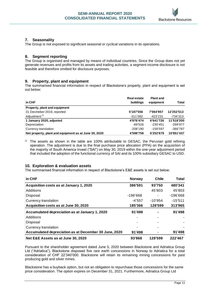

#### **7. Seasonality**

The Group is not exposed to significant seasonal or cyclical variations in its operations.

#### **8. Segment reporting**

The Group is organised and managed by means of individual countries. Since the Group does not yet generate revenues and profits from its assets and trading activities, a segment income disclosure is not feasible and therefore omitted for disclosure purposes.

#### **9. Property, plant and equipment**

The summarised financial information in respect of Blackstone's property, plant and equipment is set out below:

| in CHF                                                | <b>Real estate</b><br>buildings | <b>Plant and</b><br>equipment | Total      |
|-------------------------------------------------------|---------------------------------|-------------------------------|------------|
| Property, plant and equipment                         |                                 |                               |            |
| 31 Decmeber 2019, reported                            | 5'187'556                       | 7'064'957                     | 12'252'513 |
| Adjustment <sup>1)</sup>                              | $-311'082$                      | -423'231                      | -734'313   |
| 1 January 2020, adjusted                              | 4'876'474                       | 6'641'726                     | 11'518'200 |
| Depreciation                                          | -69'526                         | $-230'451$                    | -299'977   |
| Currency translation                                  | $-208'190$                      | -158'597                      | $-366'787$ |
| Net property, plant and equipment as at June 30, 2020 | 4'598'758                       | 6'252'679                     | 10'851'437 |

<sup>1)</sup> The assets as shown in the table are 100% attributable to GESAC, the Peruvian gold refining operation. The adjustment is due to the final purchase price allocation (PPA) on the acquisition of the majority of South America Invest ("SAI") on May 30, 2019 within the one-year adjustment period that included the adoption of the functional currency of SAI and its 100% subsidiary GESAC to USD.

#### **10. Exploration & evaluation assets**

The summarised financial information in respect of Blackstone's E&E assets is set out below:

| in CHF                                                | Norway     | <b>Chile</b> | Total     |
|-------------------------------------------------------|------------|--------------|-----------|
| Acquisition costs as at January 1, 2020               | 386'591    | 93'750       | 480'341   |
| Additions                                             |            | 45'803       | 45'803    |
| Disposal                                              | $-196'668$ |              | -196'668  |
| Currency translation                                  | $-4'557$   | $-10'954$    | $-15'511$ |
| Acquisition costs as at June 30, 2020                 | 185'366    | 128'599      | 313'965   |
| Accumulated depreciation as at January 1, 2020        | 91'498     |              | 91'498    |
| Additions                                             |            |              |           |
| Disposal                                              |            |              |           |
| Currency translation                                  |            |              |           |
| Accumulated depreciation as at December 30 June, 2020 | 91'498     |              | 91'498    |
| Net E&E Assets as at June 30, 2020                    | 93'868     | 128'599      | 222'467   |

Pursuant to the shareholder agreement dated June 5, 2020 between Blackstone and Adriatica Group Ltd ("Adriatica"), Blackstone disposed five rare earth concessions in Norway to Adriatica for a total consideration of CHF 22'340'000. Blackstone will retain its remaining mining concessions for past producing gold and silver mines.

Blackstone has a buyback option, but not an obligation to repurchase those concessions for the same price consideration. The option expires on December 31, 2021. Furthermore, Adriatica Group Ltd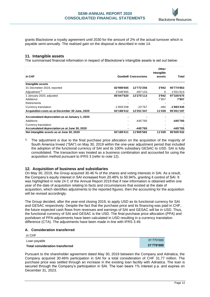

grants Blackstone a royalty agreement until 2030 for the amount of 2% of the actual turnover which is payable semi-annually. The realised gain on the disposal is described in note 14.

#### **11. Intangible assets**

The summarised financial information in respect of Blackstone's intangible assets is set out below:

| in CHF                                         |              | <b>Goodwill Concessions</b> | Other<br>intangible<br>assets | Total      |
|------------------------------------------------|--------------|-----------------------------|-------------------------------|------------|
| Intangible assets                              |              |                             |                               |            |
| 31 Decmeber 2019, reported                     | 82'998'665   | 12'772'256                  | 3'942                         | 95'774'863 |
| Adjustment <sup>1)</sup>                       | 2'048'955    | -497'143                    | 0                             | 1'551'813  |
| 1 January 2020, adjusted                       | 85'047'620   | 12'275'113                  | 3'942                         | 97'326'675 |
| Additions                                      |              |                             | 7'957                         | 7'957      |
| Retirements                                    |              |                             |                               |            |
| Currency translation                           | $-1'859'208$ | $-23'767$                   | -460                          | -1'883'435 |
| Acquisition costs as at December 30 June, 2020 | 83'188'412   | 12'251'347                  | 11'439                        | 95'451'197 |
| Accumulated depreciation as at January 1, 2020 |              |                             |                               |            |
| Additions                                      |              | -445'765                    |                               | -445'765   |
| Currency translation                           |              |                             |                               |            |
| Accumulated depreciation as at June 30, 2020   |              | -445'765                    |                               | -445'765   |
| Net intangible assets as at June 30, 2020      | 83'188'411   | 11'805'582                  | 11'439                        | 95'005'432 |

<sup>1)</sup> The adjustment is due to the final purchase price allocation on the acquisition of the majority of South America Invest ("SAI") on May 30, 2019 within the one-year adjustment period that included the adoption of the functional currency of SAI and its 100% subsidiary GESAC to USD. SAI is fully consolidated. The transaction was treated as a business combination and accounted for using the acquisition method pursuant to IFRS 3 (refer to note 12).

#### **12. Acquisition of business and subsidiaries**

On May 30, 2019, the Group acquired 30.46 % of the shares and voting interests in SAI. As a result, the Company's equity interest in SAI increased from 20.48% to 50.94%, granting it control of SAI. It was highlighted in note 24 C of the Annual Report 2019 that if new information is obtained within one year of the date of acquisition relating to facts and circumstances that existed at the date of acquisition, which identifies adjustments to the reported figures, then the accounting for the acquisition will be revised accordingly.

The Group decided, after the year-end closing 2019, to apply USD as its functional currency for SAI and GESAC respectively. Despite the fact that the purchase price and its financing was paid in CHF, the future expected cash flows from revenues and earnings of SAI and GESAC will be in USD. Thus, the functional currency of SAI and GESAC is the USD. The final purchase price allocation (PPA) and pushdown of PPA-adjustments have been calculated in USD resulting in a currency translation difference (CTA). The adjustments have been made in line with IFRS 3.49.

#### **A. Consideration transferred**

| in CHF                          |            |
|---------------------------------|------------|
| Loan payable                    | 31'770'000 |
| Total consideration transferred | 31'770'000 |

Pursuant to the shareholder agreement dated May 30, 2019 between the Company and Adriatica, the Company acquired 30.46% participation in SAI for a total consideration of CHF 31.77 million. The purchase price was settled through an increase in the existing loan facility with Adriatica. The loan is secured through the Company's participation in SAI. The loan bears 1% interest p.a. and expires on December 31, 2023.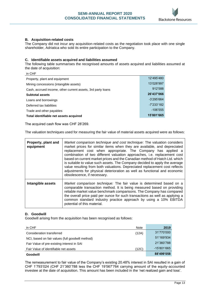

#### **B. Acquisition-related costs**

in CHF

The Company did not incur any acquisition-related costs as the negotiation took place with one single shareholder, Adriatica who sold its entire participation to the Company.

#### **C. Identifiable assets acquired and liabilities assumed**

The following table summarises the recognised amounts of assets acquired and liabilities assumed at the date of acquisition:

| Property, plant and equipment                               | 12'495'480   |
|-------------------------------------------------------------|--------------|
| Mining concessions (intangible assets)                      | 13'028'997   |
| Cash, accrued income, other current assets, 3rd party loans | 912'588      |
| <b>Subtotal assets</b>                                      | 26'437'066   |
| Loans and borrowings                                        | $-3'295'664$ |
| Deferred tax liabilities                                    | -7'233'182   |
| Trade and other payables                                    | $-106'555$   |
| Total identifiable net assets acquired                      | 15'801'665   |
|                                                             |              |

The acquired cash flow was CHF 28'269.

The valuation techniques used for measuring the fair value of material assets acquired were as follows:

| Property, plant and<br>equipment | Market comparison technique and cost technique: The valuation considers<br>market prices for similar items when they are available, and depreciated<br>replacement cost when appropriate. The Company has applied a<br>combination of two different valuation approaches, i.e. replacement cost<br>based on current market prices and the Canadian method of Hatch Ltd. which<br>is suitable to value such assets. The Company decided to apply the average<br>value resulting from both valuations. Depreciated replacement cost reflects<br>adjustments for physical deterioration as well as functional and economic<br>obsolescence, if necessary. |
|----------------------------------|--------------------------------------------------------------------------------------------------------------------------------------------------------------------------------------------------------------------------------------------------------------------------------------------------------------------------------------------------------------------------------------------------------------------------------------------------------------------------------------------------------------------------------------------------------------------------------------------------------------------------------------------------------|
| Intangible assets                | Market comparison technique: The fair value is determined based on a<br>comparable transaction method. It is being measured based on providing<br>reliable market value benchmark comparisons. The Company has compared<br>the overall price paid per ounce for such transactions as well as applying a<br>common standard industry practice approach by using a 10% EBITDA<br>potential of this material.                                                                                                                                                                                                                                             |

#### **D. Goodwill**

Goodwill arising from the acquisition has been recognised as follows:

| in CHF                                           | Note  | 2019        |
|--------------------------------------------------|-------|-------------|
| Consideration transferred                        | (12A) | 31'770'000  |
| NCI, based on fair values (full goodwill method) |       | 51'169'934  |
| Fair Value of pre-existing interest in SAI       |       | 21'360'788  |
| (12C)<br>Fair Value of identifiable net assets   |       | -15'801'665 |
| Goodwill                                         |       | 88'499'058  |

The remeasurement to fair value of the Company's existing 20.48% interest in SAI resulted in a gain of CHF 1'793'024 (CHF 21'360'788 less the CHF 19'567'764 carrying amount of the equity-accounted investee at the date of acquisition. This amount has been included in the 'net realized gain and loss'.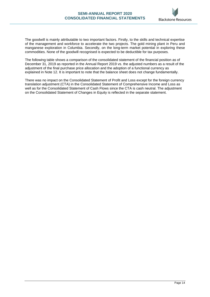

The goodwill is mainly attributable to two important factors. Firstly, to the skills and technical expertise of the management and workforce to accelerate the two projects. The gold mining plant in Peru and manganese exploration in Columbia. Secondly, on the long-term market potential in exploring these commodities. None of the goodwill recognised is expected to be deductible for tax purposes.

The following table shows a comparison of the consolidated statement of the financial position as of December 31, 2019 as reported in the Annual Report 2019 vs. the adjusted numbers as a result of the adjustment of the final purchase price allocation and the adoption of a functional currency as explained in Note 12. It is important to note that the balance sheet does not change fundamentally.

There was no impact on the Consolidated Statement of Profit and Loss except for the foreign currency translation adjustment (CTA) in the Consolidated Statement of Comprehensive Income and Loss as well as for the Consolidated Statement of Cash Flows since the CTA is cash neutral. The adjustment on the Consolidated Statement of Changes in Equity is reflected in the separate statement.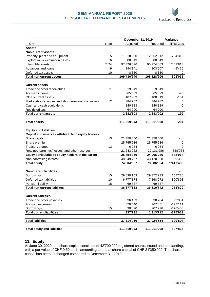

|                                                                       |      | December 31, 2019 |             | Variance         |  |
|-----------------------------------------------------------------------|------|-------------------|-------------|------------------|--|
| in CHF                                                                | Note | Adjusted          | Reported    | <b>IFRS 3.49</b> |  |
| <b>Assets</b>                                                         |      |                   |             |                  |  |
| <b>Non-current assets</b>                                             |      |                   |             |                  |  |
| Property, plant and equipment                                         | 5    | 11'518'200        | 12'252'512  | $-734'312$       |  |
| Exploration & evaluation assets                                       |      | 388'843           | 388'843     | 0                |  |
| Intangible assets                                                     | 7,24 | 97'326'676        | 95'774'863  | 1'551'813        |  |
| Advances and loans                                                    | 9    | 194'141           | 203'607     | $-9'466$         |  |
| Deferred tax assets                                                   |      | 8'380             | 8'380       | 0                |  |
| <b>Total non-current assets</b>                                       |      | 109'436'240       | 108'628'206 | 808'035          |  |
|                                                                       |      |                   |             |                  |  |
| <b>Current assets</b>                                                 |      |                   |             |                  |  |
| Trade and other receivables                                           | 11   | 19'549            | 19'549      | 0                |  |
| Accrued income                                                        |      | 665'539           | 665'629     | -90              |  |
| Other current assets                                                  |      | 407'909           | 408'013     | $-104$           |  |
| Marketable securities and short-term financial assets                 | 12   | 384'782           | 384'782     | 0                |  |
| Cash and cash equivalents                                             |      | 840'823           | 840'829     | -6               |  |
| Restricted cash                                                       |      | 64'200            | 64'200      |                  |  |
| <b>Total current assets</b>                                           |      | 2'382'803         | 2'383'002   | $-199$           |  |
|                                                                       |      |                   |             |                  |  |
| <b>Total assets</b>                                                   |      | 111'819'043       | 111'011'208 | $-204$           |  |
|                                                                       |      |                   |             |                  |  |
| <b>Equity and liabilities</b>                                         |      |                   |             |                  |  |
| Capital and reserve - attributable to equity holders<br>Share capital | 13   | 21'350'000        | 21'350'000  |                  |  |
| Share premium                                                         |      | 25'755'236        | 25'755'236  | -0               |  |
| <b>Treasury shares</b>                                                | 13   | $-6'964$          | $-6'964$    | 0                |  |
| Retained earnings/(losses) and other reserves                         |      | -21'243'922       | -22'131'986 | 888'064          |  |
| Equity attributable to equity holders of the parent                   |      | 25'854'350        | 24'966'286  | 888'064          |  |
| Non-controlling interest                                              |      | 48'649'737        | 48'120'368  | 529'369          |  |
| <b>Total equity</b>                                                   |      | 74'504'087        | 73'086'654  | 1'417'433        |  |
|                                                                       |      |                   |             |                  |  |
| <b>Non-current liabilities</b>                                        |      |                   |             |                  |  |
| <b>Borrowings</b>                                                     | 15   | 29'530'153        | 29'372'933  | 157'220          |  |
| Deferred tax liabilities                                              | 10   | 6'777'174         | 7'168'072   | -390'898         |  |
| Pension liability                                                     | 18   | 69'837            | 69'837      |                  |  |
| <b>Total non-current liabilites</b>                                   |      | 36'377'163        | 36'610'842  | $-233'679$       |  |
|                                                                       |      |                   |             |                  |  |
| <b>Current liabilities</b>                                            |      |                   |             |                  |  |
| Trade and other payables                                              |      | 336'433           | 338'784     | $-2'351$         |  |
| Accrued expenses                                                      |      | 570'540           | 767'651     | $-197'111$       |  |
| Borrowings                                                            | 15   | 30'820            | 207'276     | -176'456         |  |
| <b>Total current liabilities</b>                                      |      | 937'792           | 1'313'712   | -375'919         |  |
|                                                                       |      |                   |             |                  |  |
| <b>Total liabilities</b>                                              |      | 37'314'956        | 37'924'554  | -609'598         |  |
|                                                                       |      |                   |             |                  |  |
| <b>Total equity and liabilities</b>                                   |      | 111'819'043       | 111'011'208 | 807'836          |  |

#### **13. Equity**

At June 30, 2020, the share capital consisted of 42'700'000 registered shares issued and outstanding, with a par value of CHF 0.50 each, amounting to a total share capital of CHF 21'350'000. The share capital has been unchanged compared to December 31, 2019.